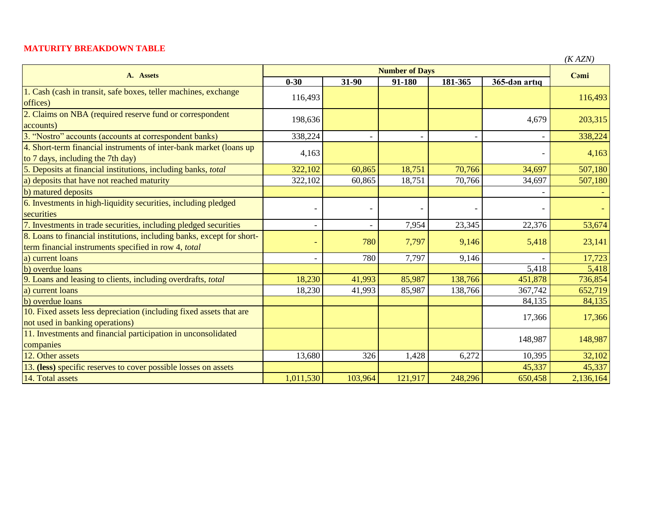## **MATURITY BREAKDOWN TABLE**

| A. Assets                                                                                                                      |           | (A AZIV)                 |                                 |                |               |           |
|--------------------------------------------------------------------------------------------------------------------------------|-----------|--------------------------|---------------------------------|----------------|---------------|-----------|
|                                                                                                                                | $0 - 30$  | 31-90                    | <b>Number of Days</b><br>91-180 | 181-365        | 365-dən artıq | Cami      |
| 1. Cash (cash in transit, safe boxes, teller machines, exchange<br>offices)                                                    | 116,493   |                          |                                 |                |               | 116,493   |
| 2. Claims on NBA (required reserve fund or correspondent<br>accounts)                                                          | 198,636   |                          |                                 |                | 4,679         | 203,315   |
| 3. "Nostro" accounts (accounts at correspondent banks)                                                                         | 338,224   |                          |                                 |                |               | 338,224   |
| 4. Short-term financial instruments of inter-bank market (loans up<br>to 7 days, including the 7th day)                        | 4,163     |                          |                                 |                |               | 4,163     |
| 5. Deposits at financial institutions, including banks, total                                                                  | 322,102   | 60,865                   | 18,751                          | 70,766         | 34,697        | 507,180   |
| a) deposits that have not reached maturity                                                                                     | 322,102   | 60,865                   | 18,751                          | 70,766         | 34,697        | 507,180   |
| b) matured deposits                                                                                                            |           |                          |                                 |                |               |           |
| 6. Investments in high-liquidity securities, including pledged<br>securities                                                   |           | $\overline{\phantom{a}}$ |                                 | $\overline{a}$ |               |           |
| 7. Investments in trade securities, including pledged securities                                                               |           | $\overline{\phantom{a}}$ | 7,954                           | 23,345         | 22,376        | 53,674    |
| 8. Loans to financial institutions, including banks, except for short-<br>term financial instruments specified in row 4, total |           | 780                      | 7,797                           | 9,146          | 5,418         | 23,141    |
| a) current loans                                                                                                               |           | 780                      | 7,797                           | 9,146          |               | 17,723    |
| b) overdue loans                                                                                                               |           |                          |                                 |                | 5,418         | 5,418     |
| 9. Loans and leasing to clients, including overdrafts, total                                                                   | 18,230    | 41,993                   | 85,987                          | 138,766        | 451,878       | 736,854   |
| a) current loans                                                                                                               | 18,230    | 41,993                   | 85,987                          | 138,766        | 367,742       | 652,719   |
| b) overdue loans                                                                                                               |           |                          |                                 |                | 84,135        | 84,135    |
| 10. Fixed assets less depreciation (including fixed assets that are                                                            |           |                          |                                 |                | 17,366        | 17,366    |
| not used in banking operations)                                                                                                |           |                          |                                 |                |               |           |
| 11. Investments and financial participation in unconsolidated<br>companies                                                     |           |                          |                                 |                | 148,987       | 148,987   |
| 12. Other assets                                                                                                               | 13,680    | 326                      | 1,428                           | 6,272          | 10,395        | 32,102    |
| 13. (less) specific reserves to cover possible losses on assets                                                                |           |                          |                                 |                | 45,337        | 45,337    |
| 14. Total assets                                                                                                               | 1,011,530 | 103,964                  | 121,917                         | 248,296        | 650,458       | 2,136,164 |

*(K AZN)*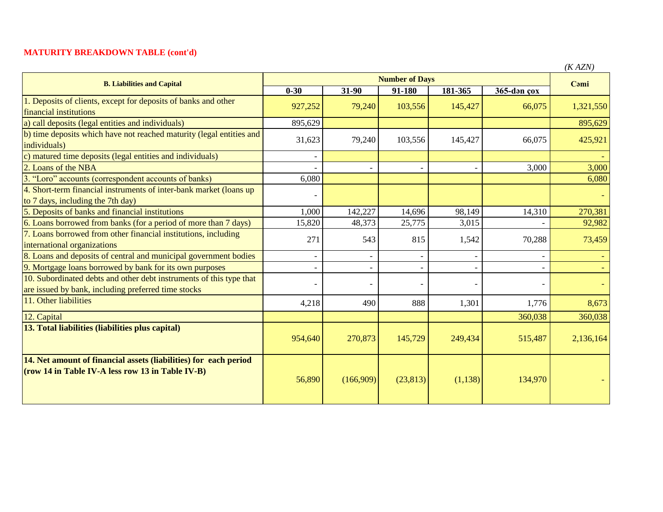## **MATURITY BREAKDOWN TABLE (cont'd)**

| <b>B. Liabilities and Capital</b>                                                                                          | <b>Number of Days</b> |                          |           |                          |             | $($ aziv $)$<br>Cami |
|----------------------------------------------------------------------------------------------------------------------------|-----------------------|--------------------------|-----------|--------------------------|-------------|----------------------|
|                                                                                                                            | $0 - 30$              | 31-90                    | 91-180    | 181-365                  | 365-dən çox |                      |
| 1. Deposits of clients, except for deposits of banks and other<br>financial institutions                                   | 927,252               | 79,240                   | 103,556   | 145,427                  | 66,075      | 1,321,550            |
| a) call deposits (legal entities and individuals)                                                                          | 895,629               |                          |           |                          |             | 895,629              |
| b) time deposits which have not reached maturity (legal entities and<br>individuals)                                       | 31,623                | 79,240                   | 103,556   | 145,427                  | 66,075      | 425,921              |
| c) matured time deposits (legal entities and individuals)                                                                  |                       |                          |           |                          |             |                      |
| 2. Loans of the NBA                                                                                                        |                       | $\overline{\phantom{a}}$ |           | $\overline{\phantom{a}}$ | 3,000       | 3,000                |
| 3. "Loro" accounts (correspondent accounts of banks)                                                                       | 6,080                 |                          |           |                          |             | 6,080                |
| 4. Short-term financial instruments of inter-bank market (loans up<br>to 7 days, including the 7th day)                    |                       |                          |           |                          |             |                      |
| 5. Deposits of banks and financial institutions                                                                            | 1,000                 | 142,227                  | 14,696    | 98,149                   | 14,310      | 270,381              |
| 6. Loans borrowed from banks (for a period of more than 7 days)                                                            | 15,820                | 48,373                   | 25,775    | 3,015                    |             | 92,982               |
| 7. Loans borrowed from other financial institutions, including<br>international organizations                              | 271                   | 543                      | 815       | 1,542                    | 70,288      | 73,459               |
| 8. Loans and deposits of central and municipal government bodies                                                           |                       | $\overline{\phantom{a}}$ |           |                          |             |                      |
| 9. Mortgage loans borrowed by bank for its own purposes                                                                    |                       | $\overline{\phantom{0}}$ |           |                          |             |                      |
| 10. Subordinated debts and other debt instruments of this type that<br>are issued by bank, including preferred time stocks |                       | $\overline{a}$           |           |                          |             |                      |
| 11. Other liabilities                                                                                                      | 4,218                 | 490                      | 888       | 1,301                    | 1,776       | 8,673                |
| 12. Capital                                                                                                                |                       |                          |           |                          | 360,038     | 360,038              |
| 13. Total liabilities (liabilities plus capital)                                                                           | 954,640               | 270,873                  | 145,729   | 249,434                  | 515,487     | 2,136,164            |
| 14. Net amount of financial assets (liabilities) for each period<br>$($ row 14 in Table IV-A less row 13 in Table IV-B $)$ | 56,890                | (166,909)                | (23, 813) | (1,138)                  | 134,970     |                      |

*(K AZN)*